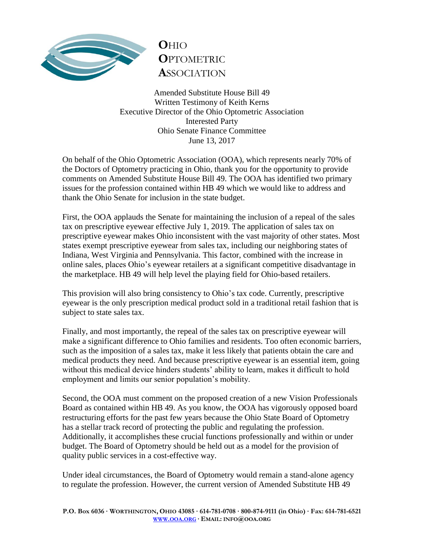

## **O**HIO **O**PTOMETRIC **A**SSOCIATION

Amended Substitute House Bill 49 Written Testimony of Keith Kerns Executive Director of the Ohio Optometric Association Interested Party Ohio Senate Finance Committee June 13, 2017

On behalf of the Ohio Optometric Association (OOA), which represents nearly 70% of the Doctors of Optometry practicing in Ohio, thank you for the opportunity to provide comments on Amended Substitute House Bill 49. The OOA has identified two primary issues for the profession contained within HB 49 which we would like to address and thank the Ohio Senate for inclusion in the state budget.

First, the OOA applauds the Senate for maintaining the inclusion of a repeal of the sales tax on prescriptive eyewear effective July 1, 2019. The application of sales tax on prescriptive eyewear makes Ohio inconsistent with the vast majority of other states. Most states exempt prescriptive eyewear from sales tax, including our neighboring states of Indiana, West Virginia and Pennsylvania. This factor, combined with the increase in online sales, places Ohio's eyewear retailers at a significant competitive disadvantage in the marketplace. HB 49 will help level the playing field for Ohio-based retailers.

This provision will also bring consistency to Ohio's tax code. Currently, prescriptive eyewear is the only prescription medical product sold in a traditional retail fashion that is subject to state sales tax.

Finally, and most importantly, the repeal of the sales tax on prescriptive eyewear will make a significant difference to Ohio families and residents. Too often economic barriers, such as the imposition of a sales tax, make it less likely that patients obtain the care and medical products they need. And because prescriptive eyewear is an essential item, going without this medical device hinders students' ability to learn, makes it difficult to hold employment and limits our senior population's mobility.

Second, the OOA must comment on the proposed creation of a new Vision Professionals Board as contained within HB 49. As you know, the OOA has vigorously opposed board restructuring efforts for the past few years because the Ohio State Board of Optometry has a stellar track record of protecting the public and regulating the profession. Additionally, it accomplishes these crucial functions professionally and within or under budget. The Board of Optometry should be held out as a model for the provision of quality public services in a cost-effective way.

Under ideal circumstances, the Board of Optometry would remain a stand-alone agency to regulate the profession. However, the current version of Amended Substitute HB 49